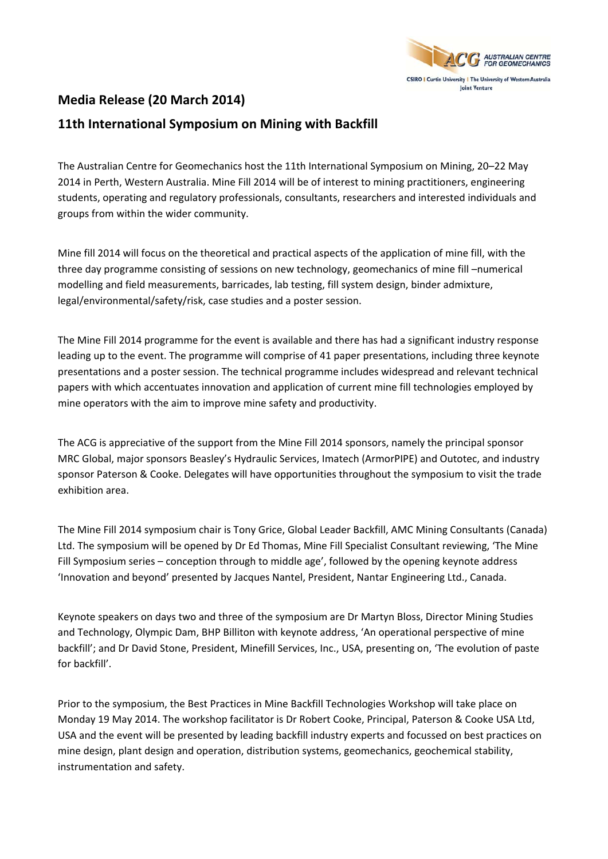

## **Media Release (20 March 2014)**

## **11th International Symposium on Mining with Backfill**

The Australian Centre for Geomechanics host the 11th International Symposium on Mining, 20–22 May 2014 in Perth, Western Australia. Mine Fill 2014 will be of interest to mining practitioners, engineering students, operating and regulatory professionals, consultants, researchers and interested individuals and groups from within the wider community.

Mine fill 2014 will focus on the theoretical and practical aspects of the application of mine fill, with the three day programme consisting of sessions on new technology, geomechanics of mine fill –numerical modelling and field measurements, barricades, lab testing, fill system design, binder admixture, legal/environmental/safety/risk, case studies and a poster session.

The Mine Fill 2014 programme for the event is available and there has had a significant industry response leading up to the event. The programme will comprise of 41 paper presentations, including three keynote presentations and a poster session. The technical programme includes widespread and relevant technical papers with which accentuates innovation and application of current mine fill technologies employed by mine operators with the aim to improve mine safety and productivity.

The ACG is appreciative of the support from the Mine Fill 2014 sponsors, namely the principal sponsor MRC Global, major sponsors Beasley's Hydraulic Services, Imatech (ArmorPIPE) and Outotec, and industry sponsor Paterson & Cooke. Delegates will have opportunities throughout the symposium to visit the trade exhibition area.

The Mine Fill 2014 symposium chair is Tony Grice, Global Leader Backfill, AMC Mining Consultants (Canada) Ltd. The symposium will be opened by Dr Ed Thomas, Mine Fill Specialist Consultant reviewing, 'The Mine Fill Symposium series – conception through to middle age', followed by the opening keynote address 'Innovation and beyond' presented by Jacques Nantel, President, Nantar Engineering Ltd., Canada.

Keynote speakers on days two and three of the symposium are Dr Martyn Bloss, Director Mining Studies and Technology, Olympic Dam, BHP Billiton with keynote address, 'An operational perspective of mine backfill'; and Dr David Stone, President, Minefill Services, Inc., USA, presenting on, 'The evolution of paste for backfill'.

Prior to the symposium, the Best Practices in Mine Backfill Technologies Workshop will take place on Monday 19 May 2014. The workshop facilitator is Dr Robert Cooke, Principal, Paterson & Cooke USA Ltd, USA and the event will be presented by leading backfill industry experts and focussed on best practices on mine design, plant design and operation, distribution systems, geomechanics, geochemical stability, instrumentation and safety.